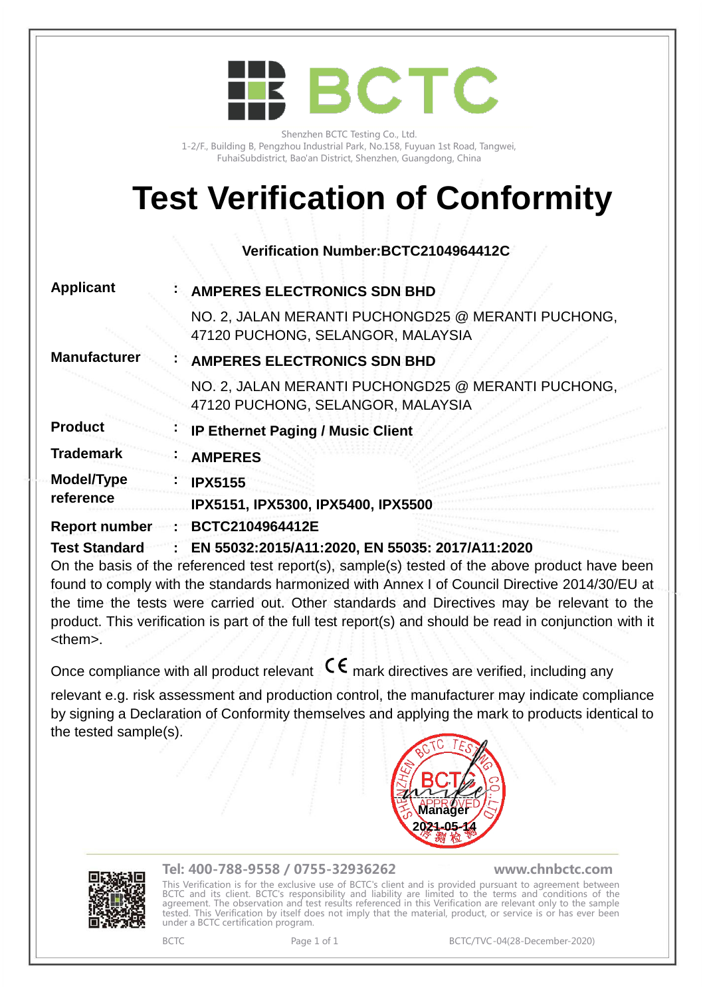

Shenzhen BCTC Testing Co., Ltd. 1-2/F., Building B, Pengzhou Industrial Park, No.158, Fuyuan 1st Road, Tangwei, FuhaiSubdistrict, Bao'an District, Shenzhen, Guangdong, China

# **Test Verification of Conformity**

**Verification Number:BCTC2104964412C**

| <b>Applicant</b>        | : AMPERES ELECTRONICS SDN BHD                                                                  |
|-------------------------|------------------------------------------------------------------------------------------------|
|                         | NO. 2, JALAN MERANTI PUCHONGD25 @ MERANTI PUCHONG,<br>47120 PUCHONG, SELANGOR, MALAYSIA        |
| <b>Manufacturer</b>     | <b>AMPERES ELECTRONICS SDN BHD</b>                                                             |
|                         | NO. 2, JALAN MERANTI PUCHONGD25 @ MERANTI PUCHONG,<br>47120 PUCHONG, SELANGOR, MALAYSIA        |
| <b>Product</b>          | <b>IP Ethernet Paging / Music Client</b>                                                       |
| <b>Trademark</b>        | <b>AMPERES</b>                                                                                 |
| Model/Type<br>reference | <b>IPX5155</b><br>IPX5151, IPX5300, IPX5400, IPX5500                                           |
| <b>Report number</b>    | BCTC2104964412E                                                                                |
| <b>Test Standard</b>    | : EN 55032:2015/A11:2020, EN 55035: 2017/A11:2020                                              |
|                         | On the basis of the referenced test report(s), sample(s) tested of the above product have been |
|                         |                                                                                                |

found to comply with the standards harmonized with Annex I of Council Directive 2014/30/EU at the time the tests were carried out. Other standards and Directives may be relevant to the product. This verification is part of the full test report(s) and should be read in conjunction with it <them>.

Once compliance with all product relevant  $\mathsf{C}\boldsymbol{\epsilon}$  mark directives are verified, including any

relevant e.g. risk assessment and production control, the manufacturer may indicate compliance by signing a Declaration of Conformity themselves and applying the mark to products identical to the tested sample(s).





## Tel: 400-788-9558 / 0755-32936262 www.chnbctc.com

 $\mathbb{R}$ This Verification is for the exclusive use of BCTC's client and is provided pursuant to agreement between BCTC and its client. BCTC's responsibility and liability are limited to the terms and conditions of the agreement. The observation and test results referenced in this Verification are relevant only to the sample tested. This Verification by itself does not imply that the material, product, or service is or has ever been under a BCTC certification program.

BCTC Page 1 of 1 BCTC/TVC-04(28-December-2020)